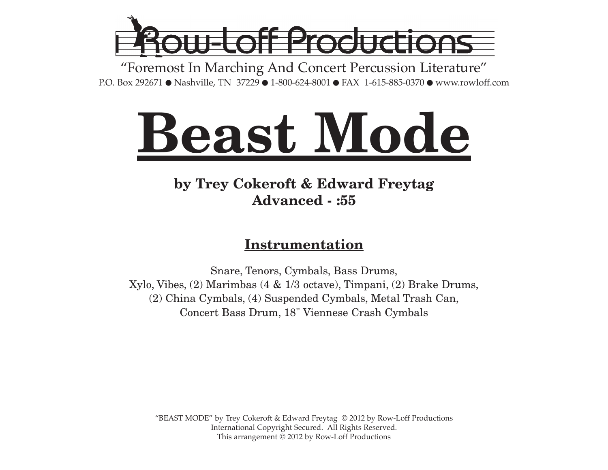

"Foremost In Marching And Concert Percussion Literature" P.O. Box 292671 ● Nashville, TN 37229 ● 1-800-624-8001 ● FAX 1-615-885-0370 ● www.rowloff.com

## **Beast Mode**

## **by Trey Cokeroft & Edward Freytag Advanced - :55**

## **Instrumentation**

Snare, Tenors, Cymbals, Bass Drums, Xylo, Vibes, (2) Marimbas (4 & 1/3 octave), Timpani, (2) Brake Drums, (2) China Cymbals, (4) Suspended Cymbals, Metal Trash Can, Concert Bass Drum, 18" Viennese Crash Cymbals

"BEAST MODE" by Trey Cokeroft & Edward Freytag  $\odot$  2012 by Row-Loff Productions International Copyright Secured. All Rights Reserved. This arrangement © 2012 by Row-Loff Productions